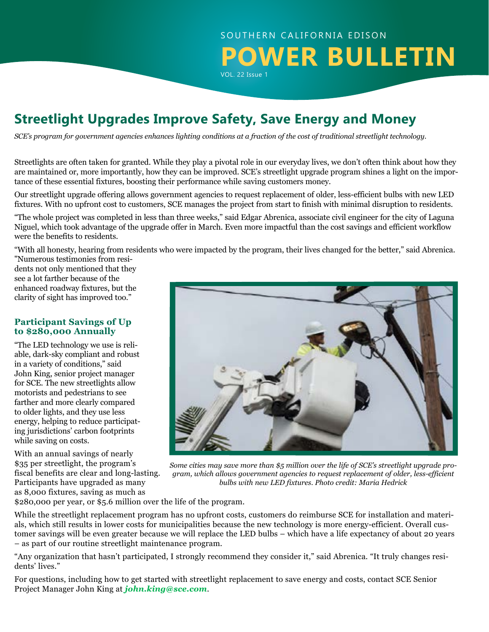# SOUTHERN CALIFORNIA EDISON **POWER BULLETIN** VOL. 22 Issue 1

# **Streetlight Upgrades Improve Safety, Save Energy and Money**

*SCE's program for government agencies enhances lighting conditions at a fraction of the cost of traditional streetlight technology.* 

Streetlights are often taken for granted. While they play a pivotal role in our everyday lives, we don't often think about how they are maintained or, more importantly, how they can be improved. SCE's streetlight upgrade program shines a light on the importance of these essential fixtures, boosting their performance while saving customers money.

Our streetlight upgrade offering allows government agencies to request replacement of older, less-efficient bulbs with new LED fixtures. With no upfront cost to customers, SCE manages the project from start to finish with minimal disruption to residents.

"The whole project was completed in less than three weeks," said Edgar Abrenica, associate civil engineer for the city of Laguna Niguel, which took advantage of the upgrade offer in March. Even more impactful than the cost savings and efficient workflow were the benefits to residents.

"With all honesty, hearing from residents who were impacted by the program, their lives changed for the better," said Abrenica. "Numerous testimonies from resi-

dents not only mentioned that they see a lot farther because of the enhanced roadway fixtures, but the clarity of sight has improved too."

### **Participant Savings of Up to \$280,000 Annually**

"The LED technology we use is reliable, dark-sky compliant and robust in a variety of conditions," said John King, senior project manager for SCE. The new streetlights allow motorists and pedestrians to see farther and more clearly compared to older lights, and they use less energy, helping to reduce participating jurisdictions' carbon footprints while saving on costs.

With an annual savings of nearly \$35 per streetlight, the program's fiscal benefits are clear and long-lasting. Participants have upgraded as many as 8,000 fixtures, saving as much as



*Some cities may save more than \$5 million over the life of SCE's streetlight upgrade program, which allows government agencies to request replacement of older, less-efficient bulbs with new LED fixtures. Photo credit: Maria Hedrick* 

\$280,000 per year, or \$5.6 million over the life of the program.

While the streetlight replacement program has no upfront costs, customers do reimburse SCE for installation and materials, which still results in lower costs for municipalities because the new technology is more energy-efficient. Overall customer savings will be even greater because we will replace the LED bulbs – which have a life expectancy of about 20 years – as part of our routine streetlight maintenance program.

"Any organization that hasn't participated, I strongly recommend they consider it," said Abrenica. "It truly changes residents' lives."

For questions, including how to get started with streetlight replacement to save energy and costs, contact SCE Senior Project Manager John King at *[john.king@sce.com](mailto:john.king%40sce.com?subject=How%20to%20Get%20Started%20with%20Streetlight%20Replacement)*.